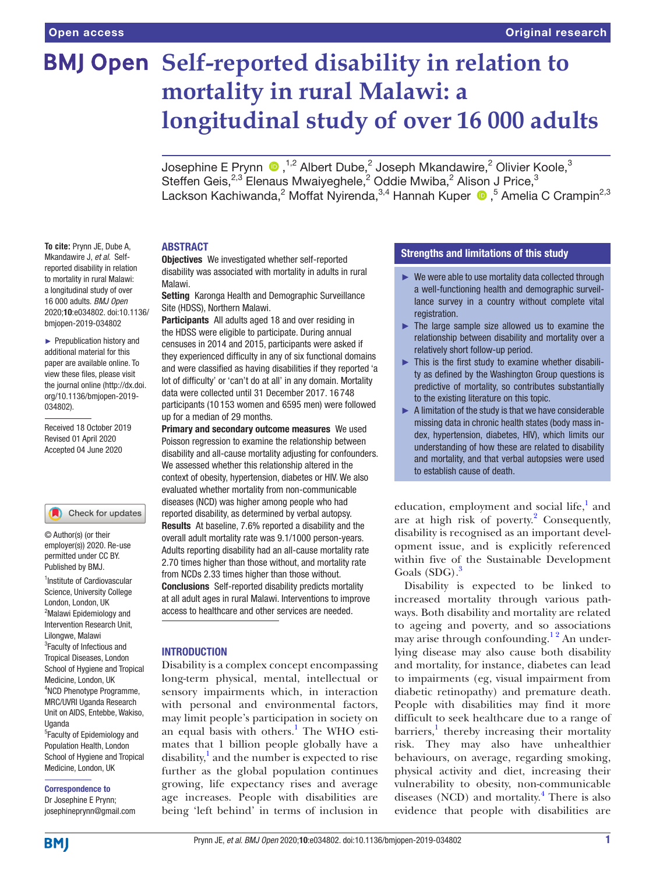# **BMJ Open Self-reported disability in relation to mortality in rural Malawi: a longitudinal study of over 16 000 adults**

Josephine E Prynn  $\bigcirc$  ,<sup>1,2</sup> Albert Dube,<sup>2</sup> Joseph Mkandawire,<sup>2</sup> Olivier Koole,<sup>3</sup> Steffen Geis, $^{2,3}$  Elenaus Mwaiyeghele,<sup>2</sup> Oddie Mwiba,<sup>2</sup> Alison J Price,<sup>3</sup> Lackson Kachiwanda,<sup>2</sup> Moffat Nyirenda,<sup>3,4</sup> Hannah Kuper (D, 5 Amelia C Crampin<sup>2,3</sup>

# **ABSTRACT**

Mkandawire J, *et al*. Selfreported disability in relation to mortality in rural Malawi: a longitudinal study of over 16 000 adults. *BMJ Open* Malawi.

► Prepublication history and additional material for this paper are available online. To view these files, please visit the journal online (http://dx.doi. org/10.1136/bmjopen-2019- 034802).

2020;10:e034802. doi:10.1136/ bmjopen-2019-034802

**To cite:** Prynn JE, Dube A,

Received 18 October 2019 Revised 01 April 2020 Accepted 04 June 2020

## Check for updates

© Author(s) (or their employer(s)) 2020. Re-use permitted under CC BY. Published by BMJ.

<sup>1</sup>Institute of Cardiovascular Science, University College London, London, UK <sup>2</sup>Malawi Epidemiology and Intervention Research Unit, Lilongwe, Malawi <sup>3</sup> Faculty of Infectious and Tropical Diseases, London School of Hygiene and Tropical Medicine, London, UK 4 NCD Phenotype Programme, MRC/UVRI Uganda Research Unit on AIDS, Entebbe, Wakiso, Uganda <sup>5</sup> Faculty of Epidemiology and Population Health, London

School of Hygiene and Tropical Medicine, London, UK

Correspondence to Dr Josephine E Prynn; josephineprynn@gmail.com Objectives We investigated whether self-reported disability was associated with mortality in adults in rural

Setting Karonga Health and Demographic Surveillance Site (HDSS), Northern Malawi.

Participants All adults aged 18 and over residing in the HDSS were eligible to participate. During annual censuses in 2014 and 2015, participants were asked if they experienced difficulty in any of six functional domains and were classified as having disabilities if they reported 'a lot of difficulty' or 'can't do at all' in any domain. Mortality data were collected until 31 December 2017. 16 748 participants (10 153 women and 6595 men) were followed up for a median of 29 months.

Primary and secondary outcome measures We used Poisson regression to examine the relationship between disability and all-cause mortality adjusting for confounders. We assessed whether this relationship altered in the context of obesity, hypertension, diabetes or HIV. We also evaluated whether mortality from non-communicable diseases (NCD) was higher among people who had reported disability, as determined by verbal autopsy. Results At baseline, 7.6% reported a disability and the overall adult mortality rate was 9.1/1000 person-years. Adults reporting disability had an all-cause mortality rate 2.70 times higher than those without, and mortality rate from NCDs 2.33 times higher than those without. Conclusions Self-reported disability predicts mortality at all adult ages in rural Malawi. Interventions to improve access to healthcare and other services are needed.

# **INTRODUCTION**

Disability is a complex concept encompassing long-term physical, mental, intellectual or sensory impairments which, in interaction with personal and environmental factors, may limit people's participation in society on an equal basis with others.<sup>1</sup> The WHO estimates that 1 billion people globally have a disability,<sup>1</sup> and the number is expected to rise further as the global population continues growing, life expectancy rises and average age increases. People with disabilities are being 'left behind' in terms of inclusion in

# Strengths and limitations of this study

- $\blacktriangleright$  We were able to use mortality data collected through a well-functioning health and demographic surveillance survey in a country without complete vital registration.
- $\blacktriangleright$  The large sample size allowed us to examine the relationship between disability and mortality over a relatively short follow-up period.
- ► This is the first study to examine whether disability as defined by the Washington Group questions is predictive of mortality, so contributes substantially to the existing literature on this topic.
- $\blacktriangleright$  A limitation of the study is that we have considerable missing data in chronic health states (body mass index, hypertension, diabetes, HIV), which limits our understanding of how these are related to disability and mortality, and that verbal autopsies were used to establish cause of death.

education, employment and social life,<sup>1</sup> and are at high risk of poverty. $2$  Consequently, disability is recognised as an important development issue, and is explicitly referenced within five of the Sustainable Development Goals (SDG).<sup>[3](#page-8-2)</sup>

Disability is expected to be linked to increased mortality through various pathways. Both disability and mortality are related to ageing and poverty, and so associations may arise through confounding.<sup>12</sup> An underlying disease may also cause both disability and mortality, for instance, diabetes can lead to impairments (eg, visual impairment from diabetic retinopathy) and premature death. People with disabilities may find it more difficult to seek healthcare due to a range of barriers,<sup>[1](#page-8-0)</sup> thereby increasing their mortality risk. They may also have unhealthier behaviours, on average, regarding smoking, physical activity and diet, increasing their vulnerability to obesity, non-communicable diseases (NCD) and mortality.<sup>[4](#page-8-3)</sup> There is also evidence that people with disabilities are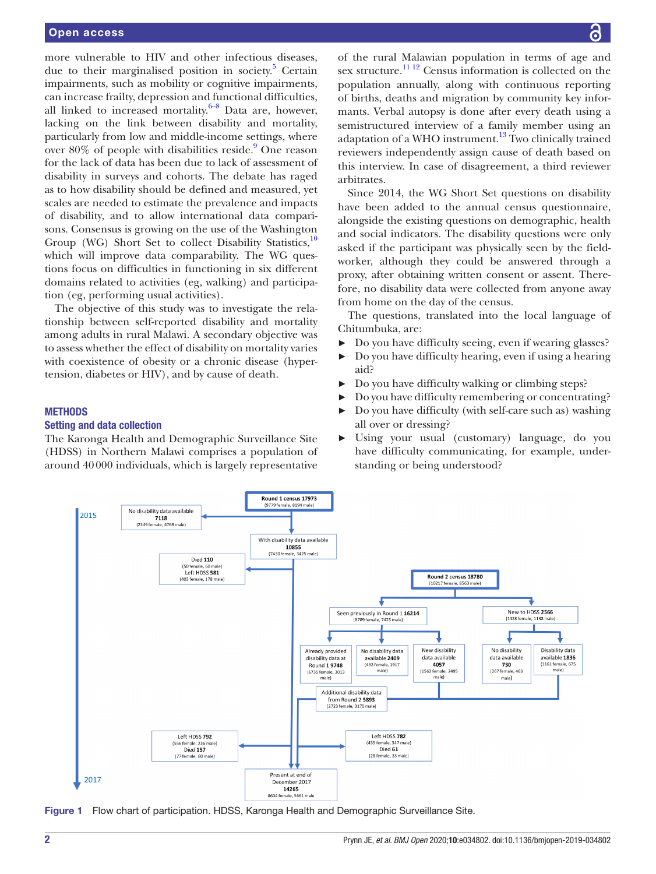more vulnerable to HIV and other infectious diseases, due to their marginalised position in society.<sup>5</sup> Certain impairments, such as mobility or cognitive impairments, can increase frailty, depression and functional difficulties, all linked to increased mortality. $6-8$  Data are, however, lacking on the link between disability and mortality, particularly from low and middle-income settings, where over 80% of people with disabilities reside.<sup>9</sup> One reason for the lack of data has been due to lack of assessment of disability in surveys and cohorts. The debate has raged as to how disability should be defined and measured, yet scales are needed to estimate the prevalence and impacts of disability, and to allow international data comparisons. Consensus is growing on the use of the Washington Group (WG) Short Set to collect Disability Statistics,<sup>[10](#page-8-7)</sup> which will improve data comparability. The WG questions focus on difficulties in functioning in six different domains related to activities (eg, walking) and participation (eg, performing usual activities).

The objective of this study was to investigate the relationship between self-reported disability and mortality among adults in rural Malawi. A secondary objective was to assess whether the effect of disability on mortality varies with coexistence of obesity or a chronic disease (hypertension, diabetes or HIV), and by cause of death.

#### **METHODS**

## Setting and data collection

The Karonga Health and Demographic Surveillance Site (HDSS) in Northern Malawi comprises a population of around 40000 individuals, which is largely representative

of the rural Malawian population in terms of age and sex structure.<sup>[11 12](#page-8-8)</sup> Census information is collected on the population annually, along with continuous reporting of births, deaths and migration by community key informants. Verbal autopsy is done after every death using a semistructured interview of a family member using an adaptation of a WHO instrument.<sup>13</sup> Two clinically trained reviewers independently assign cause of death based on this interview. In case of disagreement, a third reviewer arbitrates.

Since 2014, the WG Short Set questions on disability have been added to the annual census questionnaire, alongside the existing questions on demographic, health and social indicators. The disability questions were only asked if the participant was physically seen by the fieldworker, although they could be answered through a proxy, after obtaining written consent or assent. Therefore, no disability data were collected from anyone away from home on the day of the census.

The questions, translated into the local language of Chitumbuka, are:

- ► Do you have difficulty seeing, even if wearing glasses?
- ► Do you have difficulty hearing, even if using a hearing aid?
- ► Do you have difficulty walking or climbing steps?
- ► Do you have difficulty remembering or concentrating?
- ► Do you have difficulty (with self-care such as) washing all over or dressing?
- ► Using your usual (customary) language, do you have difficulty communicating, for example, understanding or being understood?



<span id="page-1-0"></span>Figure 1 Flow chart of participation. HDSS, Karonga Health and Demographic Surveillance Site.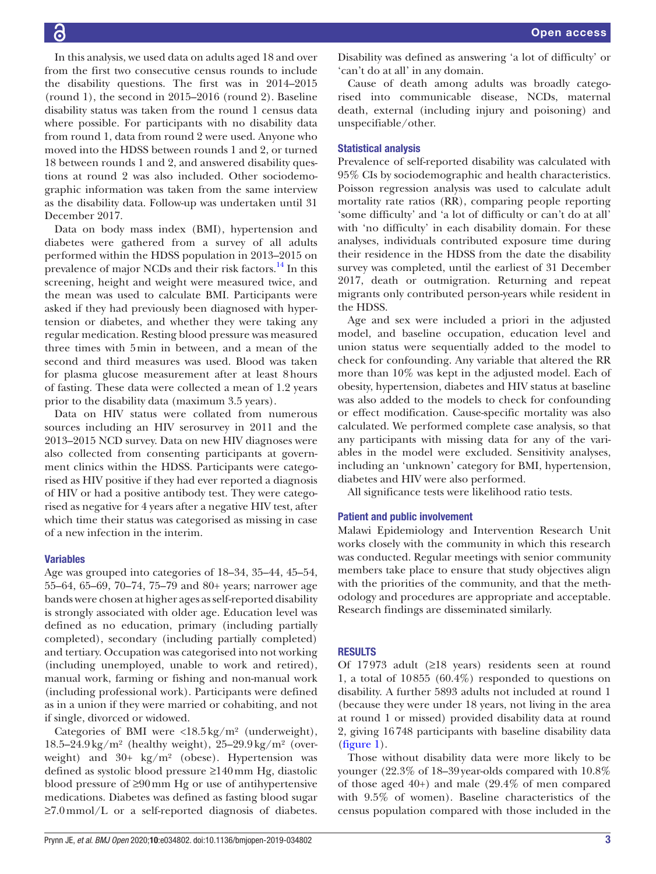In this analysis, we used data on adults aged 18 and over from the first two consecutive census rounds to include the disability questions. The first was in 2014–2015 (round 1), the second in 2015–2016 (round 2). Baseline disability status was taken from the round 1 census data where possible. For participants with no disability data from round 1, data from round 2 were used. Anyone who moved into the HDSS between rounds 1 and 2, or turned 18 between rounds 1 and 2, and answered disability questions at round 2 was also included. Other sociodemographic information was taken from the same interview as the disability data. Follow-up was undertaken until 31 December 2017.

Data on body mass index (BMI), hypertension and diabetes were gathered from a survey of all adults performed within the HDSS population in 2013–2015 on prevalence of major NCDs and their risk factors.<sup>14</sup> In this screening, height and weight were measured twice, and the mean was used to calculate BMI. Participants were asked if they had previously been diagnosed with hypertension or diabetes, and whether they were taking any regular medication. Resting blood pressure was measured three times with 5min in between, and a mean of the second and third measures was used. Blood was taken for plasma glucose measurement after at least 8hours of fasting. These data were collected a mean of 1.2 years prior to the disability data (maximum 3.5 years).

Data on HIV status were collated from numerous sources including an HIV serosurvey in 2011 and the 2013–2015 NCD survey. Data on new HIV diagnoses were also collected from consenting participants at government clinics within the HDSS. Participants were categorised as HIV positive if they had ever reported a diagnosis of HIV or had a positive antibody test. They were categorised as negative for 4 years after a negative HIV test, after which time their status was categorised as missing in case of a new infection in the interim.

# Variables

Age was grouped into categories of 18–34, 35–44, 45–54, 55–64, 65–69, 70–74, 75–79 and 80+ years; narrower age bands were chosen at higher ages as self-reported disability is strongly associated with older age. Education level was defined as no education, primary (including partially completed), secondary (including partially completed) and tertiary. Occupation was categorised into not working (including unemployed, unable to work and retired), manual work, farming or fishing and non-manual work (including professional work). Participants were defined as in a union if they were married or cohabiting, and not if single, divorced or widowed.

Categories of BMI were <18.5kg/m² (underweight),  $18.5-24.9\,\mathrm{kg/m^2}$  (healthy weight),  $25-29.9\,\mathrm{kg/m^2}$  (overweight) and 30+ kg/m² (obese). Hypertension was defined as systolic blood pressure ≥140mm Hg, diastolic blood pressure of ≥90mm Hg or use of antihypertensive medications. Diabetes was defined as fasting blood sugar ≥7.0mmol/L or a self-reported diagnosis of diabetes.

Disability was defined as answering 'a lot of difficulty' or 'can't do at all' in any domain.

Cause of death among adults was broadly categorised into communicable disease, NCDs, maternal death, external (including injury and poisoning) and unspecifiable/other.

## Statistical analysis

Prevalence of self-reported disability was calculated with 95% CIs by sociodemographic and health characteristics. Poisson regression analysis was used to calculate adult mortality rate ratios (RR), comparing people reporting 'some difficulty' and 'a lot of difficulty or can't do at all' with 'no difficulty' in each disability domain. For these analyses, individuals contributed exposure time during their residence in the HDSS from the date the disability survey was completed, until the earliest of 31 December 2017, death or outmigration. Returning and repeat migrants only contributed person-years while resident in the HDSS.

Age and sex were included a priori in the adjusted model, and baseline occupation, education level and union status were sequentially added to the model to check for confounding. Any variable that altered the RR more than 10% was kept in the adjusted model. Each of obesity, hypertension, diabetes and HIV status at baseline was also added to the models to check for confounding or effect modification. Cause-specific mortality was also calculated. We performed complete case analysis, so that any participants with missing data for any of the variables in the model were excluded. Sensitivity analyses, including an 'unknown' category for BMI, hypertension, diabetes and HIV were also performed.

All significance tests were likelihood ratio tests.

#### Patient and public involvement

Malawi Epidemiology and Intervention Research Unit works closely with the community in which this research was conducted. Regular meetings with senior community members take place to ensure that study objectives align with the priorities of the community, and that the methodology and procedures are appropriate and acceptable. Research findings are disseminated similarly.

### **RESULTS**

Of 17973 adult (≥18 years) residents seen at round 1, a total of 10855 (60.4%) responded to questions on disability. A further 5893 adults not included at round 1 (because they were under 18 years, not living in the area at round 1 or missed) provided disability data at round 2, giving 16748 participants with baseline disability data [\(figure](#page-1-0) 1).

Those without disability data were more likely to be younger (22.3% of 18–39year-olds compared with 10.8% of those aged 40+) and male (29.4% of men compared with 9.5% of women). Baseline characteristics of the census population compared with those included in the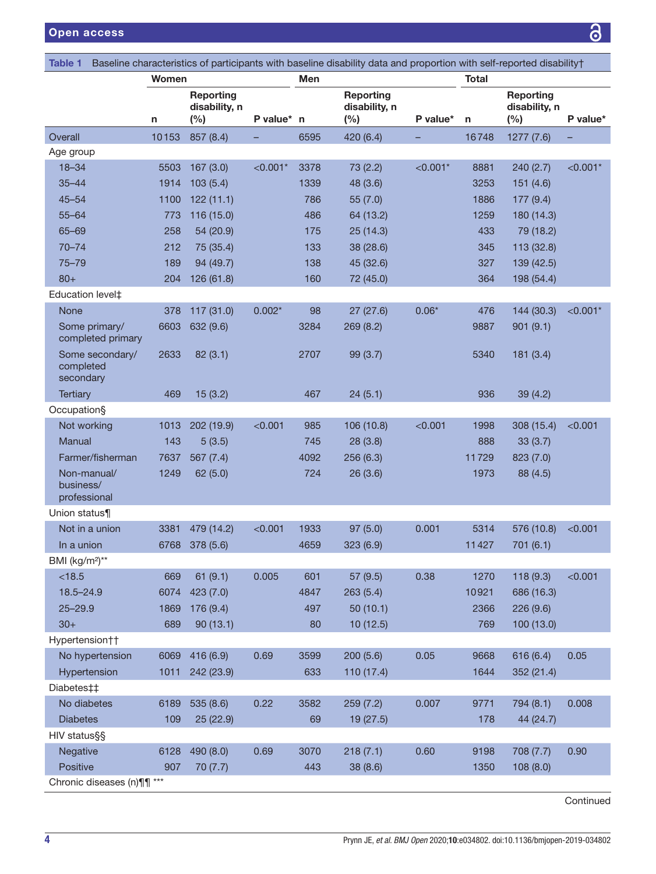<span id="page-3-0"></span>

| Table 1                                   |              |                                      |            |      | Baseline characteristics of participants with baseline disability data and proportion with self-reported disability† |            |              |                                          |            |
|-------------------------------------------|--------------|--------------------------------------|------------|------|----------------------------------------------------------------------------------------------------------------------|------------|--------------|------------------------------------------|------------|
|                                           | <b>Women</b> |                                      |            | Men  |                                                                                                                      |            | <b>Total</b> |                                          |            |
|                                           | n            | Reporting<br>disability, n<br>$(\%)$ | P value* n |      | <b>Reporting</b><br>disability, n<br>(%)                                                                             | P value*   | n            | <b>Reporting</b><br>disability, n<br>(%) | P value*   |
| Overall                                   | 10153        | 857 (8.4)                            |            | 6595 | 420 (6.4)                                                                                                            |            | 16748        | 1277 (7.6)                               |            |
| Age group                                 |              |                                      |            |      |                                                                                                                      |            |              |                                          |            |
| $18 - 34$                                 | 5503         | 167(3.0)                             | $< 0.001*$ | 3378 | 73 (2.2)                                                                                                             | $< 0.001*$ | 8881         | 240 (2.7)                                | $< 0.001*$ |
| $35 - 44$                                 | 1914         | 103(5.4)                             |            | 1339 | 48 (3.6)                                                                                                             |            | 3253         | 151(4.6)                                 |            |
| $45 - 54$                                 | 1100         | 122(11.1)                            |            | 786  | 55(7.0)                                                                                                              |            | 1886         | 177 (9.4)                                |            |
| $55 - 64$                                 | 773          | 116(15.0)                            |            | 486  | 64 (13.2)                                                                                                            |            | 1259         | 180 (14.3)                               |            |
| $65 - 69$                                 | 258          | 54 (20.9)                            |            | 175  | 25(14.3)                                                                                                             |            | 433          | 79 (18.2)                                |            |
| $70 - 74$                                 | 212          | 75 (35.4)                            |            | 133  | 38 (28.6)                                                                                                            |            | 345          | 113 (32.8)                               |            |
| $75 - 79$                                 | 189          | 94 (49.7)                            |            | 138  | 45 (32.6)                                                                                                            |            | 327          | 139 (42.5)                               |            |
| $80+$                                     | 204          | 126 (61.8)                           |            | 160  | 72 (45.0)                                                                                                            |            | 364          | 198 (54.4)                               |            |
| Education level‡                          |              |                                      |            |      |                                                                                                                      |            |              |                                          |            |
| None                                      | 378          | 117 (31.0)                           | $0.002*$   | 98   | 27(27.6)                                                                                                             | $0.06*$    | 476          | 144 (30.3)                               | $< 0.001*$ |
| Some primary/<br>completed primary        | 6603         | 632 (9.6)                            |            | 3284 | 269(8.2)                                                                                                             |            | 9887         | 901(9.1)                                 |            |
| Some secondary/<br>completed<br>secondary | 2633         | 82(3.1)                              |            | 2707 | 99 (3.7)                                                                                                             |            | 5340         | 181(3.4)                                 |            |
| <b>Tertiary</b>                           | 469          | 15(3.2)                              |            | 467  | 24(5.1)                                                                                                              |            | 936          | 39(4.2)                                  |            |
| Occupation§                               |              |                                      |            |      |                                                                                                                      |            |              |                                          |            |
| Not working                               | 1013         | 202 (19.9)                           | < 0.001    | 985  | 106 (10.8)                                                                                                           | < 0.001    | 1998         | 308 (15.4)                               | < 0.001    |
| Manual                                    | 143          | 5(3.5)                               |            | 745  | 28(3.8)                                                                                                              |            | 888          | 33(3.7)                                  |            |
| Farmer/fisherman                          | 7637         | 567 (7.4)                            |            | 4092 | 256(6.3)                                                                                                             |            | 11729        | 823 (7.0)                                |            |
| Non-manual/<br>business/<br>professional  | 1249         | 62(5.0)                              |            | 724  | 26(3.6)                                                                                                              |            | 1973         | 88 (4.5)                                 |            |
| Union status¶                             |              |                                      |            |      |                                                                                                                      |            |              |                                          |            |
| Not in a union                            | 3381         | 479 (14.2)                           | < 0.001    | 1933 | 97(5.0)                                                                                                              | 0.001      | 5314         | 576 (10.8)                               | < 0.001    |
| In a union                                | 6768         | 378 (5.6)                            |            | 4659 | 323 (6.9)                                                                                                            |            | 11427        | 701 (6.1)                                |            |
| BMI (kg/m <sup>2</sup> )**                |              |                                      |            |      |                                                                                                                      |            |              |                                          |            |
| < 18.5                                    | 669          | 61(9.1)                              | 0.005      | 601  | 57 (9.5)                                                                                                             | 0.38       | 1270         | 118 (9.3)                                | < 0.001    |
| 18.5-24.9                                 | 6074         | 423 (7.0)                            |            | 4847 | 263(5.4)                                                                                                             |            | 10921        | 686 (16.3)                               |            |
| $25 - 29.9$                               | 1869         | 176 (9.4)                            |            | 497  | 50(10.1)                                                                                                             |            | 2366         | 226 (9.6)                                |            |
| $30+$                                     | 689          | 90(13.1)                             |            | 80   | 10(12.5)                                                                                                             |            | 769          | 100 (13.0)                               |            |
| Hypertension††                            |              |                                      |            |      |                                                                                                                      |            |              |                                          |            |
| No hypertension                           | 6069         | 416 (6.9)                            | 0.69       | 3599 | 200(5.6)                                                                                                             | 0.05       | 9668         | 616 (6.4)                                | 0.05       |
| Hypertension                              | 1011         | 242 (23.9)                           |            | 633  | 110 (17.4)                                                                                                           |            | 1644         | 352 (21.4)                               |            |
| Diabetes‡‡                                |              |                                      |            |      |                                                                                                                      |            |              |                                          |            |
| No diabetes                               | 6189         | 535 (8.6)                            | 0.22       | 3582 | 259(7.2)                                                                                                             | 0.007      | 9771         | 794 (8.1)                                | 0.008      |
| <b>Diabetes</b>                           | 109          | 25 (22.9)                            |            | 69   | 19 (27.5)                                                                                                            |            | 178          | 44 (24.7)                                |            |
| HIV status§§                              |              |                                      |            |      |                                                                                                                      |            |              |                                          |            |
| Negative                                  | 6128         | 490 (8.0)                            | 0.69       | 3070 | 218(7.1)                                                                                                             | 0.60       | 9198         | 708 (7.7)                                | 0.90       |
| Positive                                  | 907          | 70 (7.7)                             |            | 443  | 38 (8.6)                                                                                                             |            | 1350         | 108(8.0)                                 |            |
| Chronic diseases (n) ¶ ***                |              |                                      |            |      |                                                                                                                      |            |              |                                          |            |

**Continued**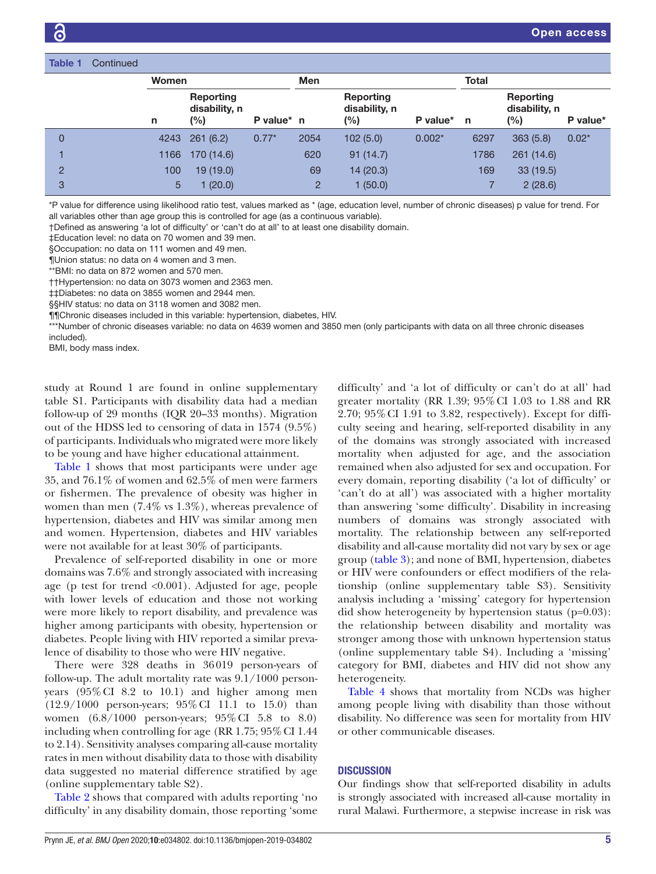| <b>Table 1</b> | Continued |              |                                   |            |            |                                   |          |              |                                   |          |
|----------------|-----------|--------------|-----------------------------------|------------|------------|-----------------------------------|----------|--------------|-----------------------------------|----------|
|                |           | <b>Women</b> |                                   |            | <b>Men</b> |                                   |          | <b>Total</b> |                                   |          |
|                |           | n            | Reporting<br>disability, n<br>(%) | P value* n |            | Reporting<br>disability, n<br>(%) | P value* | $\mathsf{n}$ | Reporting<br>disability, n<br>(%) | P value* |
| 0              |           | 4243         | 261(6.2)                          | $0.77*$    | 2054       | 102(5.0)                          | $0.002*$ | 6297         | 363(5.8)                          | $0.02*$  |
|                |           | 1166         | 170 (14.6)                        |            | 620        | 91(14.7)                          |          | 1786         | 261 (14.6)                        |          |
| 2              |           | 100          | 19(19.0)                          |            | 69         | 14 (20.3)                         |          | 169          | 33(19.5)                          |          |
| 3              |           | 5            | 1(20.0)                           |            | 2          | 1(50.0)                           |          |              | 2(28.6)                           |          |
|                |           |              |                                   |            |            |                                   |          |              |                                   |          |

\*P value for difference using likelihood ratio test, values marked as \* (age, education level, number of chronic diseases) p value for trend. For all variables other than age group this is controlled for age (as a continuous variable).

†Defined as answering 'a lot of difficulty' or 'can't do at all' to at least one disability domain.

‡Education level: no data on 70 women and 39 men.

§Occupation: no data on 111 women and 49 men.

¶Union status: no data on 4 women and 3 men.

\*\*BMI: no data on 872 women and 570 men.

††Hypertension: no data on 3073 women and 2363 men.

‡‡Diabetes: no data on 3855 women and 2944 men.

§§HIV status: no data on 3118 women and 3082 men.

¶¶Chronic diseases included in this variable: hypertension, diabetes, HIV.

\*\*\*Number of chronic diseases variable: no data on 4639 women and 3850 men (only participants with data on all three chronic diseases included).

BMI, body mass index.

study at Round 1 are found in [online supplementary](https://dx.doi.org/10.1136/bmjopen-2019-034802) [table S1](https://dx.doi.org/10.1136/bmjopen-2019-034802). Participants with disability data had a median follow-up of 29 months (IQR 20–33 months). Migration out of the HDSS led to censoring of data in 1574 (9.5%) of participants. Individuals who migrated were more likely to be young and have higher educational attainment.

[Table](#page-3-0) 1 shows that most participants were under age 35, and 76.1% of women and 62.5% of men were farmers or fishermen. The prevalence of obesity was higher in women than men (7.4% vs 1.3%), whereas prevalence of hypertension, diabetes and HIV was similar among men and women. Hypertension, diabetes and HIV variables were not available for at least 30% of participants.

Prevalence of self-reported disability in one or more domains was 7.6% and strongly associated with increasing age (p test for trend <0.001). Adjusted for age, people with lower levels of education and those not working were more likely to report disability, and prevalence was higher among participants with obesity, hypertension or diabetes. People living with HIV reported a similar prevalence of disability to those who were HIV negative.

There were 328 deaths in 36019 person-years of follow-up. The adult mortality rate was 9.1/1000 personyears (95%CI 8.2 to 10.1) and higher among men (12.9/1000 person-years; 95%CI 11.1 to 15.0) than women (6.8/1000 person-years; 95%CI 5.8 to 8.0) including when controlling for age (RR 1.75; 95% CI 1.44 to 2.14). Sensitivity analyses comparing all-cause mortality rates in men without disability data to those with disability data suggested no material difference stratified by age ([online supplementary table S2](https://dx.doi.org/10.1136/bmjopen-2019-034802)).

[Table](#page-5-0) 2 shows that compared with adults reporting 'no difficulty' in any disability domain, those reporting 'some

difficulty' and 'a lot of difficulty or can't do at all' had greater mortality (RR 1.39; 95%CI 1.03 to 1.88 and RR 2.70; 95%CI 1.91 to 3.82, respectively). Except for difficulty seeing and hearing, self-reported disability in any of the domains was strongly associated with increased mortality when adjusted for age, and the association remained when also adjusted for sex and occupation. For every domain, reporting disability ('a lot of difficulty' or 'can't do at all') was associated with a higher mortality than answering 'some difficulty'. Disability in increasing numbers of domains was strongly associated with mortality. The relationship between any self-reported disability and all-cause mortality did not vary by sex or age group [\(table](#page-6-0) 3); and none of BMI, hypertension, diabetes or HIV were confounders or effect modifiers of the relationship ([online supplementary table S3](https://dx.doi.org/10.1136/bmjopen-2019-034802)). Sensitivity analysis including a 'missing' category for hypertension did show heterogeneity by hypertension status (p=0.03): the relationship between disability and mortality was stronger among those with unknown hypertension status [\(online supplementary table S4\)](https://dx.doi.org/10.1136/bmjopen-2019-034802). Including a 'missing' category for BMI, diabetes and HIV did not show any heterogeneity.

[Table](#page-7-0) 4 shows that mortality from NCDs was higher among people living with disability than those without disability. No difference was seen for mortality from HIV or other communicable diseases.

## **DISCUSSION**

Our findings show that self-reported disability in adults is strongly associated with increased all-cause mortality in rural Malawi. Furthermore, a stepwise increase in risk was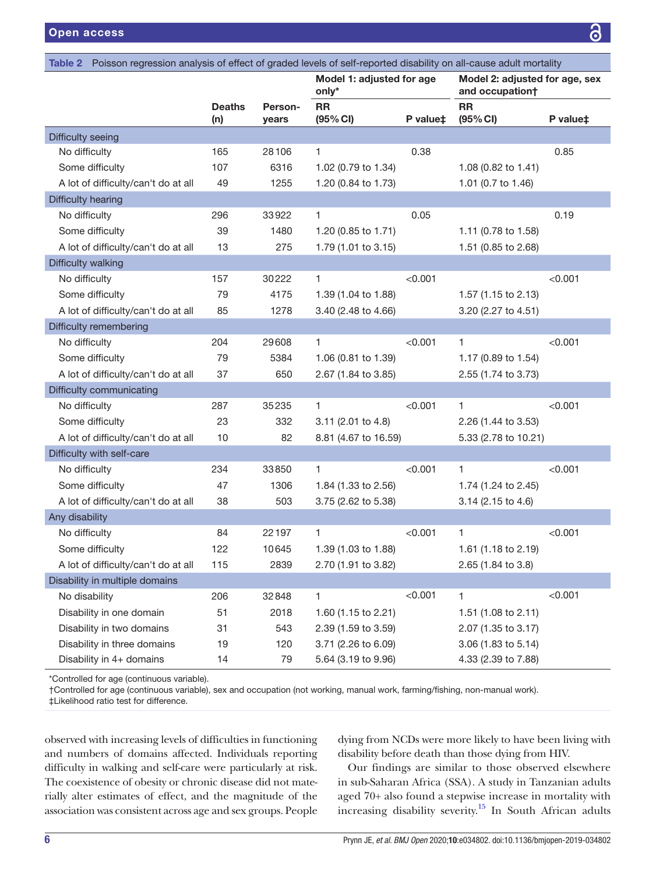<span id="page-5-0"></span>

| Poisson regression analysis of effect of graded levels of self-reported disability on all-cause adult mortality<br>Table 2 |                      |                  |                                    |          |                                                   |          |
|----------------------------------------------------------------------------------------------------------------------------|----------------------|------------------|------------------------------------|----------|---------------------------------------------------|----------|
|                                                                                                                            |                      |                  | Model 1: adjusted for age<br>only* |          | Model 2: adjusted for age, sex<br>and occupation+ |          |
|                                                                                                                            | <b>Deaths</b><br>(n) | Person-<br>years | <b>RR</b><br>(95% CI)              | P value‡ | <b>RR</b><br>(95% CI)                             | P value‡ |
| Difficulty seeing                                                                                                          |                      |                  |                                    |          |                                                   |          |
| No difficulty                                                                                                              | 165                  | 28106            | 1.                                 | 0.38     |                                                   | 0.85     |
| Some difficulty                                                                                                            | 107                  | 6316             | 1.02 (0.79 to 1.34)                |          | 1.08 (0.82 to 1.41)                               |          |
| A lot of difficulty/can't do at all                                                                                        | 49                   | 1255             | 1.20 (0.84 to 1.73)                |          | 1.01 (0.7 to 1.46)                                |          |
| Difficulty hearing                                                                                                         |                      |                  |                                    |          |                                                   |          |
| No difficulty                                                                                                              | 296                  | 33922            | $\mathbf{1}$                       | 0.05     |                                                   | 0.19     |
| Some difficulty                                                                                                            | 39                   | 1480             | 1.20 (0.85 to 1.71)                |          | 1.11 (0.78 to 1.58)                               |          |
| A lot of difficulty/can't do at all                                                                                        | 13                   | 275              | 1.79 (1.01 to 3.15)                |          | 1.51 (0.85 to 2.68)                               |          |
| Difficulty walking                                                                                                         |                      |                  |                                    |          |                                                   |          |
| No difficulty                                                                                                              | 157                  | 30222            | 1.                                 | < 0.001  |                                                   | < 0.001  |
| Some difficulty                                                                                                            | 79                   | 4175             | 1.39 (1.04 to 1.88)                |          | 1.57 (1.15 to 2.13)                               |          |
| A lot of difficulty/can't do at all                                                                                        | 85                   | 1278             | 3.40 (2.48 to 4.66)                |          | 3.20 (2.27 to 4.51)                               |          |
| Difficulty remembering                                                                                                     |                      |                  |                                    |          |                                                   |          |
| No difficulty                                                                                                              | 204                  | 29608            | 1.                                 | < 0.001  | $\mathbf{1}$                                      | < 0.001  |
| Some difficulty                                                                                                            | 79                   | 5384             | 1.06 (0.81 to 1.39)                |          | 1.17 (0.89 to 1.54)                               |          |
| A lot of difficulty/can't do at all                                                                                        | 37                   | 650              | 2.67 (1.84 to 3.85)                |          | 2.55 (1.74 to 3.73)                               |          |
| Difficulty communicating                                                                                                   |                      |                  |                                    |          |                                                   |          |
| No difficulty                                                                                                              | 287                  | 35235            | 1                                  | < 0.001  | $\mathbf{1}$                                      | < 0.001  |
| Some difficulty                                                                                                            | 23                   | 332              | 3.11 (2.01 to 4.8)                 |          | 2.26 (1.44 to 3.53)                               |          |
| A lot of difficulty/can't do at all                                                                                        | 10                   | 82               | 8.81 (4.67 to 16.59)               |          | 5.33 (2.78 to 10.21)                              |          |
| Difficulty with self-care                                                                                                  |                      |                  |                                    |          |                                                   |          |
| No difficulty                                                                                                              | 234                  | 33850            | 1.                                 | < 0.001  | 1                                                 | < 0.001  |
| Some difficulty                                                                                                            | 47                   | 1306             | 1.84 (1.33 to 2.56)                |          | 1.74 (1.24 to 2.45)                               |          |
| A lot of difficulty/can't do at all                                                                                        | 38                   | 503              | 3.75 (2.62 to 5.38)                |          | 3.14 (2.15 to 4.6)                                |          |
| Any disability                                                                                                             |                      |                  |                                    |          |                                                   |          |
| No difficulty                                                                                                              | 84                   | 22197            | 1                                  | < 0.001  | 1                                                 | < 0.001  |
| Some difficulty                                                                                                            | 122                  | 10645            | 1.39 (1.03 to 1.88)                |          | 1.61 (1.18 to 2.19)                               |          |
| A lot of difficulty/can't do at all                                                                                        | 115                  | 2839             | 2.70 (1.91 to 3.82)                |          | 2.65 (1.84 to 3.8)                                |          |
| Disability in multiple domains                                                                                             |                      |                  |                                    |          |                                                   |          |
| No disability                                                                                                              | 206                  | 32848            | 1                                  | < 0.001  | $\mathbf{1}$                                      | < 0.001  |
| Disability in one domain                                                                                                   | 51                   | 2018             | 1.60 (1.15 to 2.21)                |          | 1.51 (1.08 to 2.11)                               |          |
| Disability in two domains                                                                                                  | 31                   | 543              | 2.39 (1.59 to 3.59)                |          | 2.07 (1.35 to 3.17)                               |          |
| Disability in three domains                                                                                                | 19                   | 120              | 3.71 (2.26 to 6.09)                |          | 3.06 (1.83 to 5.14)                               |          |
| Disability in 4+ domains                                                                                                   | 14                   | 79               | 5.64 (3.19 to 9.96)                |          | 4.33 (2.39 to 7.88)                               |          |

\*Controlled for age (continuous variable).

†Controlled for age (continuous variable), sex and occupation (not working, manual work, farming/fishing, non-manual work).

‡Likelihood ratio test for difference.

observed with increasing levels of difficulties in functioning and numbers of domains affected. Individuals reporting difficulty in walking and self-care were particularly at risk. The coexistence of obesity or chronic disease did not materially alter estimates of effect, and the magnitude of the association was consistent across age and sex groups. People

dying from NCDs were more likely to have been living with disability before death than those dying from HIV.

Our findings are similar to those observed elsewhere in sub-Saharan Africa (SSA). A study in Tanzanian adults aged 70+ also found a stepwise increase in mortality with increasing disability severity[.15](#page-8-11) In South African adults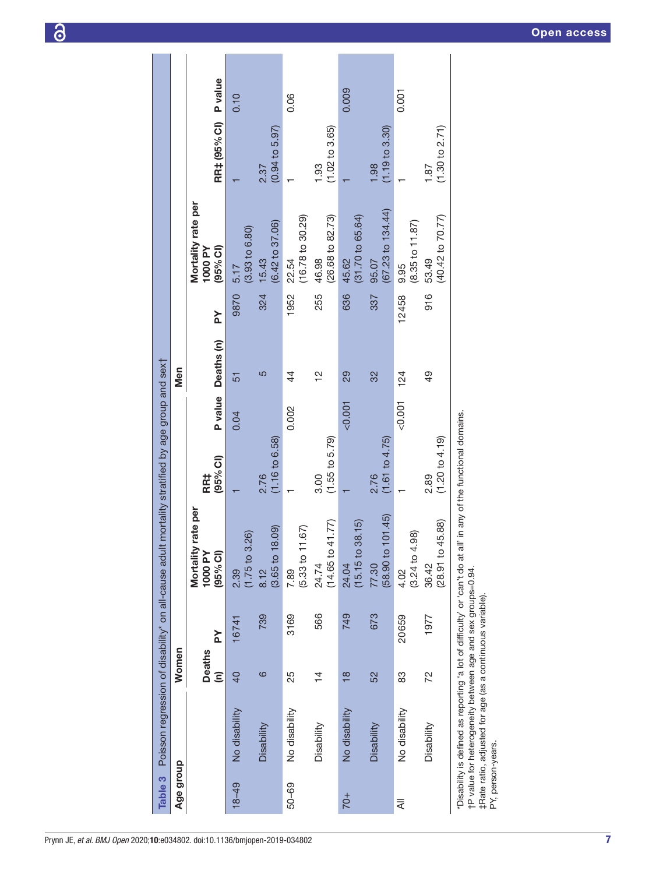<span id="page-6-0"></span>

| Table 3           | Poisson regression of disability* on all-cause adult                                                                                                                                                              |                                       |               |                                                                               | mortality stratified by age group and sext |         |                       |              |                                                                            |                                   |                |
|-------------------|-------------------------------------------------------------------------------------------------------------------------------------------------------------------------------------------------------------------|---------------------------------------|---------------|-------------------------------------------------------------------------------|--------------------------------------------|---------|-----------------------|--------------|----------------------------------------------------------------------------|-----------------------------------|----------------|
| Age group         |                                                                                                                                                                                                                   | Women                                 |               |                                                                               |                                            |         | Men                   |              |                                                                            |                                   |                |
|                   |                                                                                                                                                                                                                   | <b>Deaths</b><br>$\widehat{\epsilon}$ | Σ             | rate per<br>Mortality<br>(95% Cl)<br>1000 PY                                  | (95% Cl)<br>RR‡                            | P value | Deaths (n)            | $\geq$       | Mortality rate per<br>(95% Cl)<br>1000 PY                                  | RR‡ (95% CI)                      | <b>P</b> value |
| $18 - 49$         | No disability<br>Disability                                                                                                                                                                                       | ဖ<br>$\overline{40}$                  | 739<br>16741  | $(3.65 \text{ to } 18.09)$<br>$(1.75 \text{ to } 3.26)$<br>2.39<br>8.12       | $(1.16 \text{ to } 6.58)$<br>2.76          | 0.04    | 5<br>51               | 324<br>9870  | $(6.42 \text{ to } 37.06)$<br>$(3.93 $ to $6.80)$<br>15.43<br>5.17         | $(0.94 \text{ to } 5.97)$<br>2.37 | 0.10           |
| $50 - 69$         | No disability<br>Disability                                                                                                                                                                                       | 25<br>$\frac{4}{1}$                   | 3169<br>566   | $(14.65 \text{ to } 41.77)$<br>$(29 -$<br>(5.33 to 11)<br>24.74<br>7.89       | $(1.55 \text{ to } 5.79)$<br>3.00          | 0.002   | 으<br>4                | 1952<br>255  | $(26.68 \text{ to } 82.73)$<br>$(16.78$ to 30.29)<br>46.98<br>22.54        | $(1.02 \text{ to } 3.65)$<br>1.93 | 0.06           |
| $70+$             | No disability<br>Disability                                                                                                                                                                                       | 52<br>$\frac{8}{18}$                  | 749<br>673    | $(58.90 \text{ to } 101.45)$<br>$(15.15 \text{ to } 38.15)$<br>77.30<br>24.04 | (1.61 to 4.75)<br>2.76                     | < 0.001 | 29<br>32              | 636<br>337   | $(67.23$ to 134.44)<br>(31.70 to 65.64)<br>45.62<br>95.07                  | $(1.19 \text{ to } 3.30)$<br>1.98 | 0.009          |
| ₹                 | No disability<br>Disability                                                                                                                                                                                       | 72<br>83                              | 20659<br>1977 | 45.88)<br>.98)<br>(28.91 to 4)<br>$(3.24 \text{ to } 4.$<br>36.42<br>4.02     | (1.20 to 4.19)<br>2.89                     | 0.001   | $\overline{6}$<br>124 | 916<br>12458 | $(40.42 \text{ to } 70.77)$<br>$(8.35 \text{ to } 11.87)$<br>53.49<br>9.95 | (1.30 to 2.71)<br>1.87            | 0.001          |
| PY, person-years. | to at all ob interview of profit of other than the se benited in the signitude situal<br>tP value for heterogeneity between age and sex groups=0.94.<br>#Rate ratio, adjusted for age (as a continuous variable). |                                       |               |                                                                               | I' in any of the functional domains.       |         |                       |              |                                                                            |                                   |                |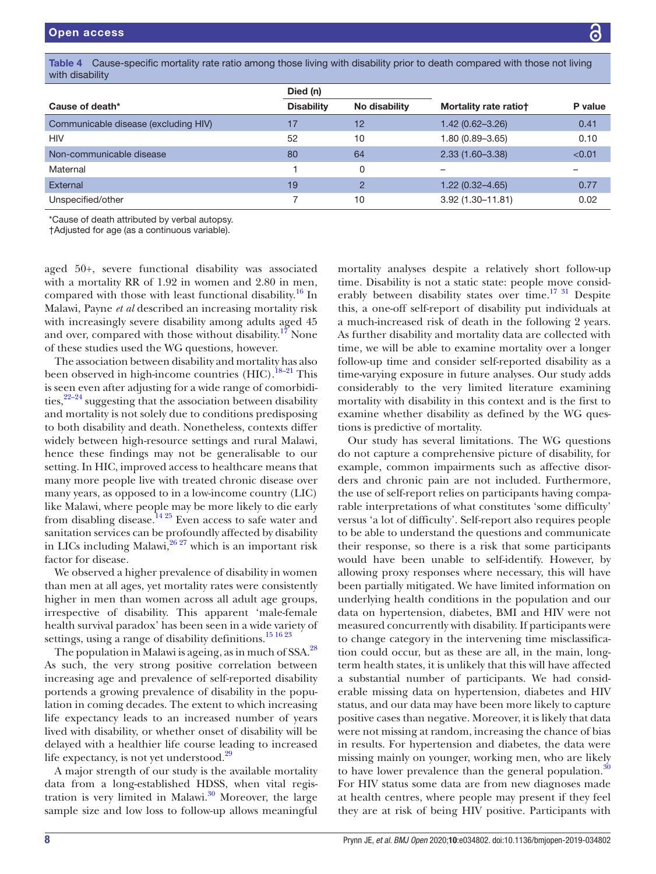<span id="page-7-0"></span>Table 4 Cause-specific mortality rate ratio among those living with disability prior to death compared with those not living with disability

|                                      | Died (n)          |               |                       |         |
|--------------------------------------|-------------------|---------------|-----------------------|---------|
| Cause of death*                      | <b>Disability</b> | No disability | Mortality rate ratiot | P value |
| Communicable disease (excluding HIV) | 17                | 12            | $1.42(0.62 - 3.26)$   | 0.41    |
| <b>HIV</b>                           | 52                | 10            | 1.80 (0.89-3.65)      | 0.10    |
| Non-communicable disease             | 80                | 64            | $2.33(1.60 - 3.38)$   | < 0.01  |
| Maternal                             |                   | 0             |                       |         |
| External                             | 19                | $\mathcal{P}$ | $1.22(0.32 - 4.65)$   | 0.77    |
| Unspecified/other                    |                   | 10            | $3.92(1.30 - 11.81)$  | 0.02    |

\*Cause of death attributed by verbal autopsy.

†Adjusted for age (as a continuous variable).

aged 50+, severe functional disability was associated with a mortality RR of 1.92 in women and 2.80 in men, compared with those with least functional disability.<sup>16</sup> In Malawi, Payne *et al* described an increasing mortality risk with increasingly severe disability among adults aged 45 and over, compared with those without disability.<sup>[17](#page-8-13)</sup> None of these studies used the WG questions, however.

The association between disability and mortality has also been observed in high-income countries  $(HIC).$ <sup>18–21</sup> This is seen even after adjusting for a wide range of comorbidities,  $2^{2-24}$  suggesting that the association between disability and mortality is not solely due to conditions predisposing to both disability and death. Nonetheless, contexts differ widely between high-resource settings and rural Malawi, hence these findings may not be generalisable to our setting. In HIC, improved access to healthcare means that many more people live with treated chronic disease over many years, as opposed to in a low-income country (LIC) like Malawi, where people may be more likely to die early from disabling disease.<sup>14 25</sup> Even access to safe water and sanitation services can be profoundly affected by disability in LICs including Malawi, $26\frac{27}{10}$  which is an important risk factor for disease.

We observed a higher prevalence of disability in women than men at all ages, yet mortality rates were consistently higher in men than women across all adult age groups, irrespective of disability. This apparent 'male-female health survival paradox' has been seen in a wide variety of settings, using a range of disability definitions.<sup>15 16 23</sup>

The population in Malawi is ageing, as in much of SSA.<sup>28</sup> As such, the very strong positive correlation between increasing age and prevalence of self-reported disability portends a growing prevalence of disability in the population in coming decades. The extent to which increasing life expectancy leads to an increased number of years lived with disability, or whether onset of disability will be delayed with a healthier life course leading to increased life expectancy, is not yet understood.<sup>[29](#page-9-3)</sup>

A major strength of our study is the available mortality data from a long-established HDSS, when vital registration is very limited in Malawi. $30$  Moreover, the large sample size and low loss to follow-up allows meaningful

mortality analyses despite a relatively short follow-up time. Disability is not a static state: people move considerably between disability states over time.<sup>17 31</sup> Despite this, a one-off self-report of disability put individuals at a much-increased risk of death in the following 2 years. As further disability and mortality data are collected with time, we will be able to examine mortality over a longer follow-up time and consider self-reported disability as a time-varying exposure in future analyses. Our study adds considerably to the very limited literature examining mortality with disability in this context and is the first to examine whether disability as defined by the WG questions is predictive of mortality.

Our study has several limitations. The WG questions do not capture a comprehensive picture of disability, for example, common impairments such as affective disorders and chronic pain are not included. Furthermore, the use of self-report relies on participants having comparable interpretations of what constitutes 'some difficulty' versus 'a lot of difficulty'. Self-report also requires people to be able to understand the questions and communicate their response, so there is a risk that some participants would have been unable to self-identify. However, by allowing proxy responses where necessary, this will have been partially mitigated. We have limited information on underlying health conditions in the population and our data on hypertension, diabetes, BMI and HIV were not measured concurrently with disability. If participants were to change category in the intervening time misclassification could occur, but as these are all, in the main, longterm health states, it is unlikely that this will have affected a substantial number of participants. We had considerable missing data on hypertension, diabetes and HIV status, and our data may have been more likely to capture positive cases than negative. Moreover, it is likely that data were not missing at random, increasing the chance of bias in results. For hypertension and diabetes, the data were missing mainly on younger, working men, who are likely to have lower prevalence than the general population.<sup>[30](#page-9-4)</sup> For HIV status some data are from new diagnoses made at health centres, where people may present if they feel they are at risk of being HIV positive. Participants with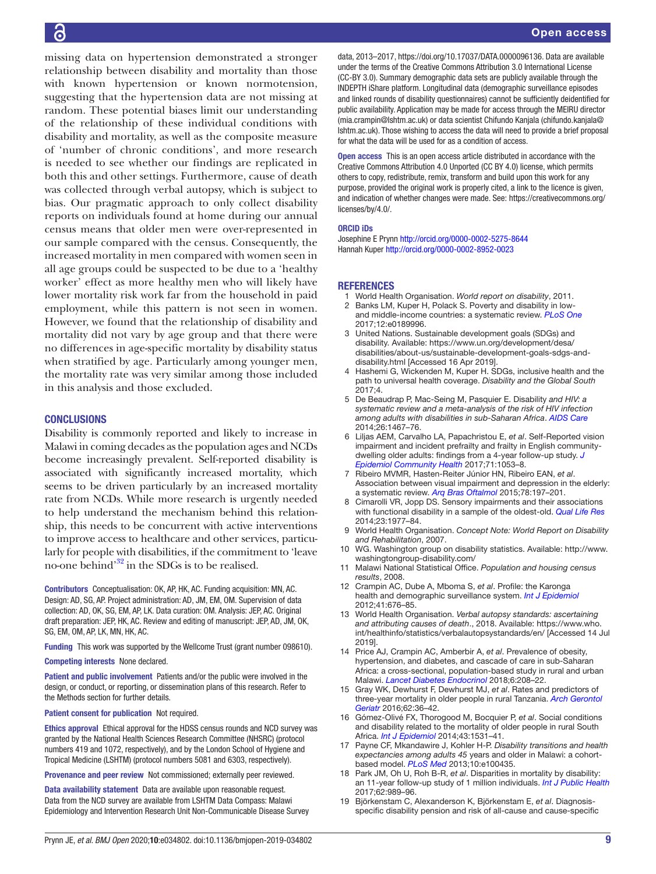missing data on hypertension demonstrated a stronger relationship between disability and mortality than those with known hypertension or known normotension, suggesting that the hypertension data are not missing at random. These potential biases limit our understanding of the relationship of these individual conditions with disability and mortality, as well as the composite measure of 'number of chronic conditions', and more research is needed to see whether our findings are replicated in both this and other settings. Furthermore, cause of death was collected through verbal autopsy, which is subject to bias. Our pragmatic approach to only collect disability reports on individuals found at home during our annual census means that older men were over-represented in our sample compared with the census. Consequently, the increased mortality in men compared with women seen in all age groups could be suspected to be due to a 'healthy worker' effect as more healthy men who will likely have lower mortality risk work far from the household in paid employment, while this pattern is not seen in women. However, we found that the relationship of disability and mortality did not vary by age group and that there were no differences in age-specific mortality by disability status when stratified by age. Particularly among younger men, the mortality rate was very similar among those included in this analysis and those excluded.

# **CONCLUSIONS**

Disability is commonly reported and likely to increase in Malawi in coming decades as the population ages and NCDs become increasingly prevalent. Self-reported disability is associated with significantly increased mortality, which seems to be driven particularly by an increased mortality rate from NCDs. While more research is urgently needed to help understand the mechanism behind this relationship, this needs to be concurrent with active interventions to improve access to healthcare and other services, particularly for people with disabilities, if the commitment to 'leave no-one behind'[32](#page-9-5) in the SDGs is to be realised.

Contributors Conceptualisation: OK, AP, HK, AC. Funding acquisition: MN, AC. Design: AD, SG, AP. Project administration: AD, JM, EM, OM. Supervision of data collection: AD, OK, SG, EM, AP, LK. Data curation: OM. Analysis: JEP, AC. Original draft preparation: JEP, HK, AC. Review and editing of manuscript: JEP, AD, JM, OK, SG, EM, OM, AP, LK, MN, HK, AC.

Funding This work was supported by the Wellcome Trust (grant number 098610).

#### Competing interests None declared.

Patient and public involvement Patients and/or the public were involved in the design, or conduct, or reporting, or dissemination plans of this research. Refer to the Methods section for further details.

Patient consent for publication Not required.

Ethics approval Ethical approval for the HDSS census rounds and NCD survey was granted by the National Health Sciences Research Committee (NHSRC) (protocol numbers 419 and 1072, respectively), and by the London School of Hygiene and Tropical Medicine (LSHTM) (protocol numbers 5081 and 6303, respectively).

Provenance and peer review Not commissioned; externally peer reviewed.

Data availability statement Data are available upon reasonable request. Data from the NCD survey are available from LSHTM Data Compass: Malawi Epidemiology and Intervention Research Unit Non-Communicable Disease Survey

data, 2013–2017, <https://doi.org/10.17037/DATA.0000096136>. Data are available under the terms of the Creative Commons Attribution 3.0 International License (CC-BY 3.0). Summary demographic data sets are publicly available through the INDEPTH iShare platform. Longitudinal data (demographic surveillance episodes and linked rounds of disability questionnaires) cannot be sufficiently deidentified for public availability. Application may be made for access through the MEIRU director (mia.crampin@lshtm.ac.uk) or data scientist Chifundo Kanjala (chifundo.kanjala@ lshtm.ac.uk). Those wishing to access the data will need to provide a brief proposal for what the data will be used for as a condition of access.

Open access This is an open access article distributed in accordance with the Creative Commons Attribution 4.0 Unported (CC BY 4.0) license, which permits others to copy, redistribute, remix, transform and build upon this work for any purpose, provided the original work is properly cited, a link to the licence is given, and indication of whether changes were made. See: [https://creativecommons.org/](https://creativecommons.org/licenses/by/4.0/) [licenses/by/4.0/](https://creativecommons.org/licenses/by/4.0/).

#### ORCID iDs

Josephine E Prynn<http://orcid.org/0000-0002-5275-8644> Hannah Kuper<http://orcid.org/0000-0002-8952-0023>

#### **REFERENCES**

- <span id="page-8-0"></span>1 World Health Organisation. *World report on disability*, 2011.
- <span id="page-8-1"></span>2 Banks LM, Kuper H, Polack S. Poverty and disability in lowand middle-income countries: a systematic review. *[PLoS One](http://dx.doi.org/10.1371/journal.pone.0189996)* 2017;12:e0189996.
- <span id="page-8-2"></span>3 United Nations. Sustainable development goals (SDGs) and disability. Available: [https://www.un.org/development/desa/](https://www.un.org/development/desa/disabilities/about-us/sustainable-development-goals-sdgs-and-disability.html) [disabilities/about-us/sustainable-development-goals-sdgs-and](https://www.un.org/development/desa/disabilities/about-us/sustainable-development-goals-sdgs-and-disability.html)[disability.html](https://www.un.org/development/desa/disabilities/about-us/sustainable-development-goals-sdgs-and-disability.html) [Accessed 16 Apr 2019].
- <span id="page-8-3"></span>4 Hashemi G, Wickenden M, Kuper H. SDGs, inclusive health and the path to universal health coverage. *Disability and the Global South* 2017;4.
- <span id="page-8-4"></span>5 De Beaudrap P, Mac-Seing M, Pasquier E. Disability *and HIV: a systematic review and a meta-analysis of the risk of HIV infection among adults with disabilities in sub-Saharan Africa*. *[AIDS Care](http://dx.doi.org/10.1080/09540121.2014.936820)* 2014;26:1467–76.
- <span id="page-8-5"></span>6 Liljas AEM, Carvalho LA, Papachristou E, *et al*. Self-Reported vision impairment and incident prefrailty and frailty in English communitydwelling older adults: findings from a 4-year follow-up study. *[J](http://dx.doi.org/10.1136/jech-2017-209207)  [Epidemiol Community Health](http://dx.doi.org/10.1136/jech-2017-209207)* 2017;71:1053–8.
- 7 Ribeiro MVMR, Hasten-Reiter Júnior HN, Ribeiro EAN, *et al*. Association between visual impairment and depression in the elderly: a systematic review. *[Arq Bras Oftalmol](http://dx.doi.org/10.5935/0004-2749.20150051)* 2015;78:197–201.
- 8 Cimarolli VR, Jopp DS. Sensory impairments and their associations with functional disability in a sample of the oldest-old. *[Qual Life Res](http://dx.doi.org/10.1007/s11136-014-0657-0)* 2014;23:1977–84.
- <span id="page-8-6"></span>9 World Health Organisation. *Concept Note: World Report on Disability and Rehabilitation*, 2007.
- <span id="page-8-7"></span>10 WG. Washington group on disability statistics. Available: [http://www.](http://www.washingtongroup-disability.com/) [washingtongroup-disability.com/](http://www.washingtongroup-disability.com/)
- <span id="page-8-8"></span>11 Malawi National Statistical Office. *Population and housing census results*, 2008.
- 12 Crampin AC, Dube A, Mboma S, *et al*. Profile: the Karonga health and demographic surveillance system. *[Int J Epidemiol](http://dx.doi.org/10.1093/ije/dys088)* 2012;41:676–85.
- <span id="page-8-9"></span>13 World Health Organisation. *Verbal autopsy standards: ascertaining and attributing causes of death*., 2018. Available: [https://www.who.](https://www.who.int/healthinfo/statistics/verbalautopsystandards/en/) [int/healthinfo/statistics/verbalautopsystandards/en/](https://www.who.int/healthinfo/statistics/verbalautopsystandards/en/) [Accessed 14 Jul 2019].
- <span id="page-8-10"></span>14 Price AJ, Crampin AC, Amberbir A, *et al*. Prevalence of obesity, hypertension, and diabetes, and cascade of care in sub-Saharan Africa: a cross-sectional, population-based study in rural and urban Malawi. *[Lancet Diabetes Endocrinol](http://dx.doi.org/10.1016/S2213-8587(17)30432-1)* 2018;6:208–22.
- <span id="page-8-11"></span>15 Gray WK, Dewhurst F, Dewhurst MJ, *et al*. Rates and predictors of three-year mortality in older people in rural Tanzania. *[Arch Gerontol](http://dx.doi.org/10.1016/j.archger.2015.10.008)  [Geriatr](http://dx.doi.org/10.1016/j.archger.2015.10.008)* 2016;62:36–42.
- <span id="page-8-12"></span>16 Gómez-Olivé FX, Thorogood M, Bocquier P, *et al*. Social conditions and disability related to the mortality of older people in rural South Africa. *[Int J Epidemiol](http://dx.doi.org/10.1093/ije/dyu093)* 2014;43:1531–41.
- <span id="page-8-13"></span>17 Payne CF, Mkandawire J, Kohler H-P. *Disability transitions and health expectancies among adults 45* years and older in Malawi: a cohortbased model. *[PLoS Med](http://dx.doi.org/10.1371/journal.pmed.1001435)* 2013;10:e100435.
- <span id="page-8-14"></span>18 Park JM, Oh U, Roh B-R, *et al*. Disparities in mortality by disability: an 11-year follow-up study of 1 million individuals. *[Int J Public Health](http://dx.doi.org/10.1007/s00038-017-0966-5)* 2017;62:989–96.
- 19 Björkenstam C, Alexanderson K, Björkenstam E, *et al*. Diagnosisspecific disability pension and risk of all-cause and cause-specific